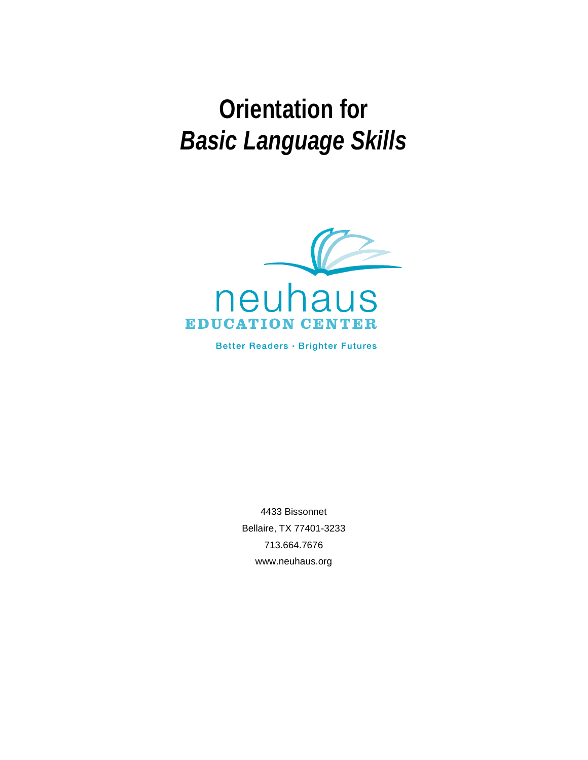# **Orientation for**  *Basic Language Skills*



Better Readers · Brighter Futures

4433 Bissonnet Bellaire, TX 77401-3233 713.664.7676 www.neuhaus.org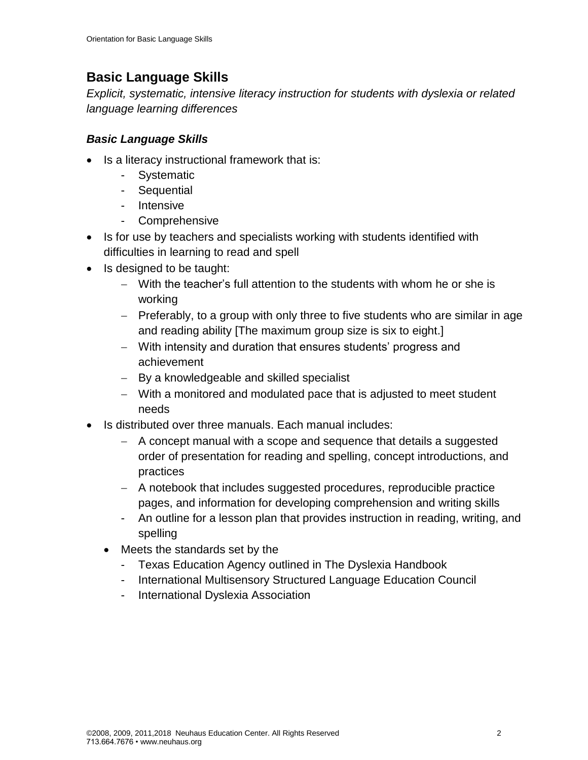# **Basic Language Skills**

*Explicit, systematic, intensive literacy instruction for students with dyslexia or related language learning differences*

### *Basic Language Skills*

- Is a literacy instructional framework that is:
	- Systematic
	- Sequential
	- Intensive
	- Comprehensive
- Is for use by teachers and specialists working with students identified with difficulties in learning to read and spell
- Is designed to be taught:
	- − With the teacher's full attention to the students with whom he or she is working
	- − Preferably, to a group with only three to five students who are similar in age and reading ability [The maximum group size is six to eight.]
	- − With intensity and duration that ensures students' progress and achievement
	- − By a knowledgeable and skilled specialist
	- − With a monitored and modulated pace that is adjusted to meet student needs
- Is distributed over three manuals. Each manual includes:
	- − A concept manual with a scope and sequence that details a suggested order of presentation for reading and spelling, concept introductions, and practices
	- − A notebook that includes suggested procedures, reproducible practice pages, and information for developing comprehension and writing skills
	- An outline for a lesson plan that provides instruction in reading, writing, and spelling
	- Meets the standards set by the
		- Texas Education Agency outlined in The Dyslexia Handbook
		- International Multisensory Structured Language Education Council
		- International Dyslexia Association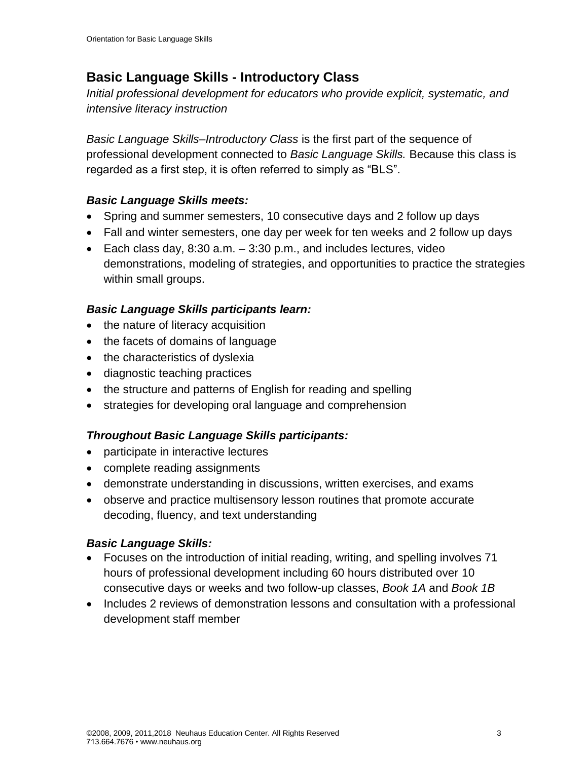# **Basic Language Skills - Introductory Class**

*Initial professional development for educators who provide explicit, systematic, and intensive literacy instruction*

*Basic Language Skills–Introductory Class* is the first part of the sequence of professional development connected to *Basic Language Skills.* Because this class is regarded as a first step, it is often referred to simply as "BLS".

#### *Basic Language Skills meets:*

- Spring and summer semesters, 10 consecutive days and 2 follow up days
- Fall and winter semesters, one day per week for ten weeks and 2 follow up days
- Each class day,  $8:30$  a.m.  $-3:30$  p.m., and includes lectures, video demonstrations, modeling of strategies, and opportunities to practice the strategies within small groups.

#### *Basic Language Skills participants learn:*

- the nature of literacy acquisition
- the facets of domains of language
- the characteristics of dyslexia
- diagnostic teaching practices
- the structure and patterns of English for reading and spelling
- strategies for developing oral language and comprehension

#### *Throughout Basic Language Skills participants:*

- participate in interactive lectures
- complete reading assignments
- demonstrate understanding in discussions, written exercises, and exams
- observe and practice multisensory lesson routines that promote accurate decoding, fluency, and text understanding

#### *Basic Language Skills:*

- Focuses on the introduction of initial reading, writing, and spelling involves 71 hours of professional development including 60 hours distributed over 10 consecutive days or weeks and two follow-up classes, *Book 1A* and *Book 1B*
- Includes 2 reviews of demonstration lessons and consultation with a professional development staff member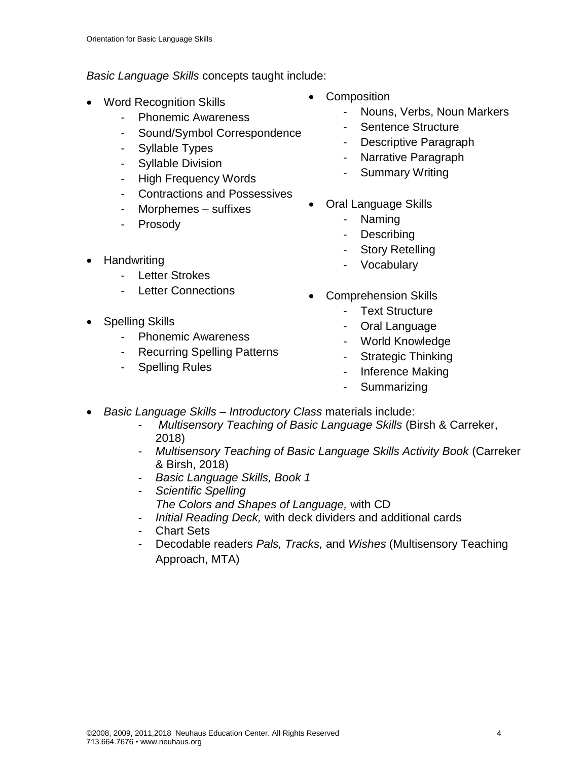*Basic Language Skills* concepts taught include:

- Word Recognition Skills
	- Phonemic Awareness
	- Sound/Symbol Correspondence
	- Syllable Types
	- Syllable Division
	- High Frequency Words
	- Contractions and Possessives
	- Morphemes suffixes
	- Prosody
- Handwriting
	- Letter Strokes
	- Letter Connections
- Spelling Skills
	- Phonemic Awareness
	- Recurring Spelling Patterns
	- Spelling Rules
- **Composition** 
	- Nouns, Verbs, Noun Markers
	- Sentence Structure
	- Descriptive Paragraph
	- Narrative Paragraph
	- Summary Writing
- Oral Language Skills
	- Naming
	- **Describing**
	- **Story Retelling**
	- **Vocabulary**
- Comprehension Skills
	- Text Structure
	- Oral Language
	- World Knowledge
	- Strategic Thinking
	- Inference Making
	- **Summarizing**
- *Basic Language Skills – Introductory Class* materials include:
	- *Multisensory Teaching of Basic Language Skills* (Birsh & Carreker, 2018)
	- *Multisensory Teaching of Basic Language Skills Activity Book* (Carreker & Birsh, 2018)
	- *Basic Language Skills, Book 1*
	- *Scientific Spelling The Colors and Shapes of Language,* with CD
	- *Initial Reading Deck,* with deck dividers and additional cards
	- Chart Sets
	- Decodable readers *Pals, Tracks,* and *Wishes* (Multisensory Teaching Approach, MTA)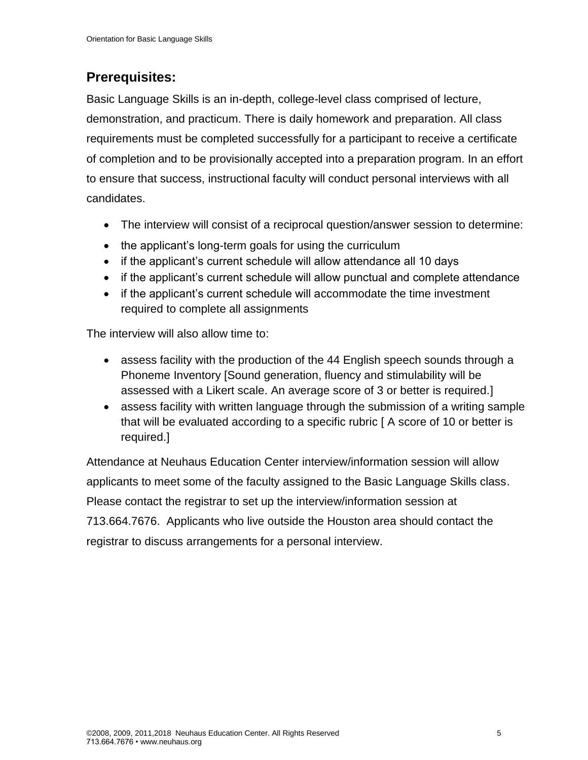# **Prerequisites:**

Basic Language Skills is an in-depth, college-level class comprised of lecture, demonstration, and practicum. There is daily homework and preparation. All class requirements must be completed successfully for a participant to receive a certificate of completion and to be provisionally accepted into a preparation program. In an effort to ensure that success, instructional faculty will conduct personal interviews with all candidates.

- The interview will consist of a reciprocal question/answer session to determine:
- the applicant's long-term goals for using the curriculum
- if the applicant's current schedule will allow attendance all 10 days
- if the applicant's current schedule will allow punctual and complete attendance
- if the applicant's current schedule will accommodate the time investment required to complete all assignments

The interview will also allow time to:

- assess facility with the production of the 44 English speech sounds through a Phoneme Inventory [Sound generation, fluency and stimulability will be assessed with a Likert scale. An average score of 3 or better is required.]
- assess facility with written language through the submission of a writing sample that will be evaluated according to a specific rubric [ A score of 10 or better is required.]

Attendance at Neuhaus Education Center interview/information session will allow applicants to meet some of the faculty assigned to the Basic Language Skills class. Please contact the registrar to set up the interview/information session at 713.664.7676. Applicants who live outside the Houston area should contact the registrar to discuss arrangements for a personal interview.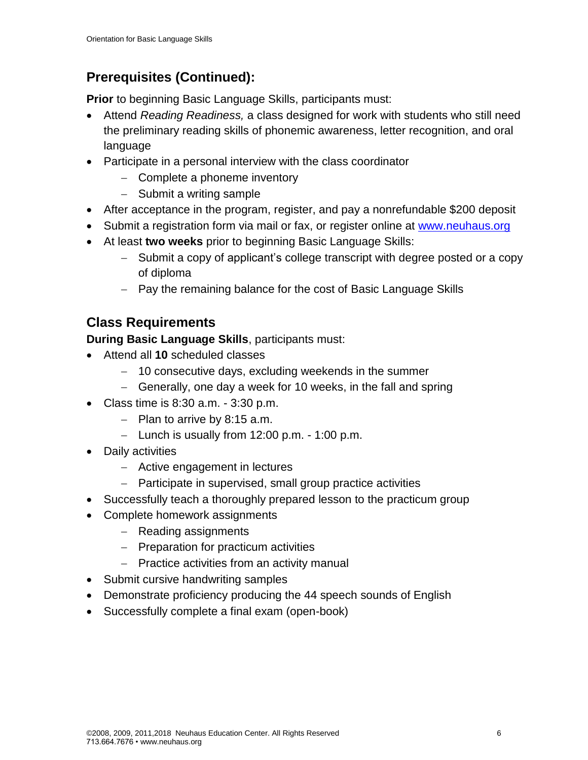# **Prerequisites (Continued):**

**Prior** to beginning Basic Language Skills, participants must:

- Attend *Reading Readiness,* a class designed for work with students who still need the preliminary reading skills of phonemic awareness, letter recognition, and oral language
- Participate in a personal interview with the class coordinator
	- − Complete a phoneme inventory
	- − Submit a writing sample
- After acceptance in the program, register, and pay a nonrefundable \$200 deposit
- Submit a registration form via mail or fax, or register online at [www.neuhaus.org](http://www.neuhaus.org/)
- At least **two weeks** prior to beginning Basic Language Skills:
	- − Submit a copy of applicant's college transcript with degree posted or a copy of diploma
	- − Pay the remaining balance for the cost of Basic Language Skills

# **Class Requirements**

**During Basic Language Skills**, participants must:

- Attend all **10** scheduled classes
	- − 10 consecutive days, excluding weekends in the summer
	- − Generally, one day a week for 10 weeks, in the fall and spring
- Class time is 8:30 a.m. 3:30 p.m.
	- − Plan to arrive by 8:15 a.m.
	- − Lunch is usually from 12:00 p.m. 1:00 p.m.
- Daily activities
	- − Active engagement in lectures
	- − Participate in supervised, small group practice activities
- Successfully teach a thoroughly prepared lesson to the practicum group
- Complete homework assignments
	- − Reading assignments
	- − Preparation for practicum activities
	- − Practice activities from an activity manual
- Submit cursive handwriting samples
- Demonstrate proficiency producing the 44 speech sounds of English
- Successfully complete a final exam (open-book)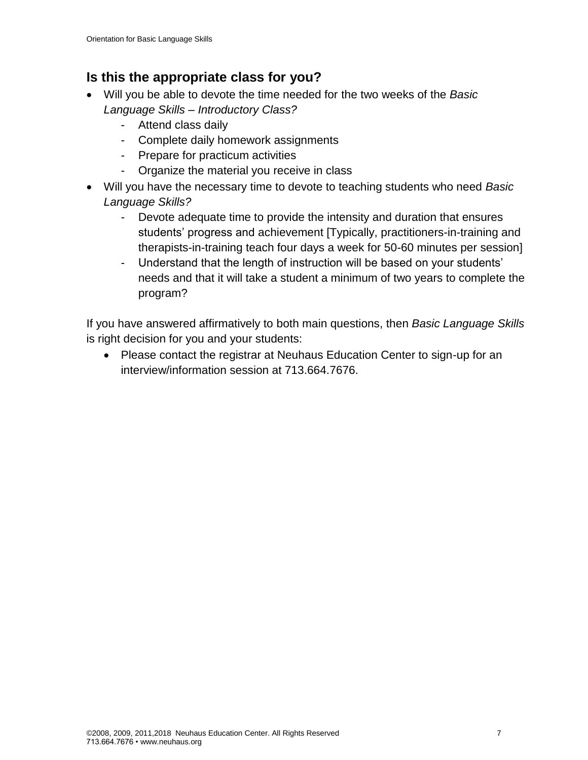## **Is this the appropriate class for you?**

- Will you be able to devote the time needed for the two weeks of the *Basic Language Skills – Introductory Class?*
	- Attend class daily
	- Complete daily homework assignments
	- Prepare for practicum activities
	- Organize the material you receive in class
- Will you have the necessary time to devote to teaching students who need *Basic Language Skills?*
	- Devote adequate time to provide the intensity and duration that ensures students' progress and achievement [Typically, practitioners-in-training and therapists-in-training teach four days a week for 50-60 minutes per session]
	- Understand that the length of instruction will be based on your students' needs and that it will take a student a minimum of two years to complete the program?

If you have answered affirmatively to both main questions, then *Basic Language Skills*  is right decision for you and your students:

• Please contact the registrar at Neuhaus Education Center to sign-up for an interview/information session at 713.664.7676.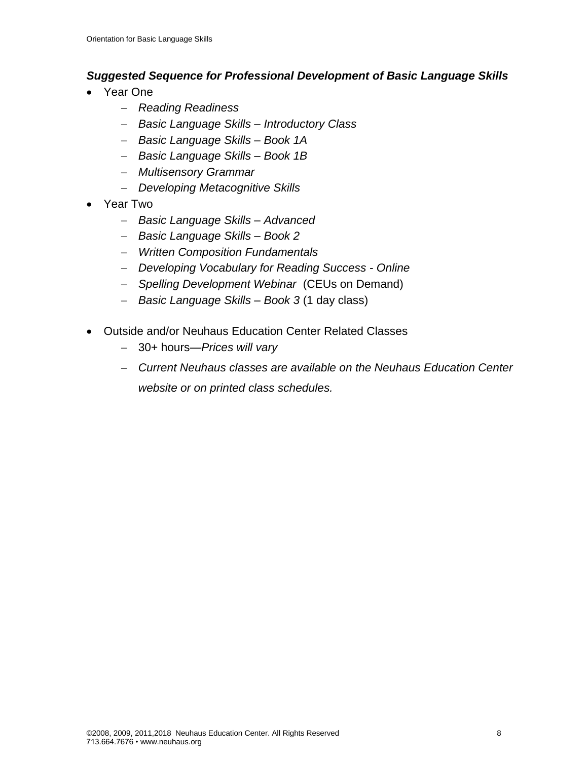#### *Suggested Sequence for Professional Development of Basic Language Skills*

- Year One
	- − *Reading Readiness*
	- − *Basic Language Skills – Introductory Class*
	- − *Basic Language Skills – Book 1A*
	- − *Basic Language Skills – Book 1B*
	- − *Multisensory Grammar*
	- − *Developing Metacognitive Skills*
- Year Two
	- − *Basic Language Skills – Advanced*
	- − *Basic Language Skills – Book 2*
	- − *Written Composition Fundamentals*
	- − *Developing Vocabulary for Reading Success - Online*
	- − *Spelling Development Webinar* (CEUs on Demand)
	- − *Basic Language Skills – Book 3* (1 day class)
- Outside and/or Neuhaus Education Center Related Classes
	- − 30+ hours—*Prices will vary*
	- − *Current Neuhaus classes are available on the Neuhaus Education Center website or on printed class schedules.*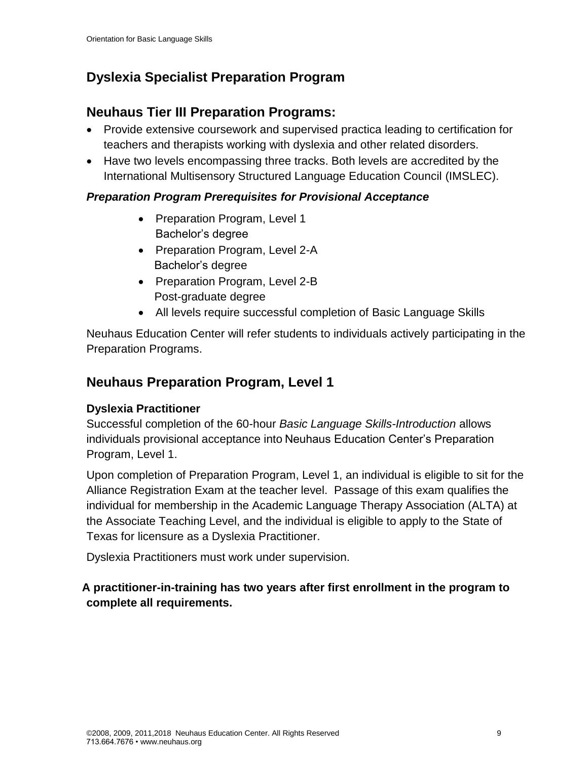# **Dyslexia Specialist Preparation Program**

# **Neuhaus Tier III Preparation Programs:**

- Provide extensive coursework and supervised practica leading to certification for teachers and therapists working with dyslexia and other related disorders.
- Have two levels encompassing three tracks. Both levels are accredited by the International Multisensory Structured Language Education Council (IMSLEC).

## *Preparation Program Prerequisites for Provisional Acceptance*

- Preparation Program, Level 1 Bachelor's degree
- Preparation Program, Level 2-A Bachelor's degree
- Preparation Program, Level 2-B Post-graduate degree
- All levels require successful completion of Basic Language Skills

Neuhaus Education Center will refer students to individuals actively participating in the Preparation Programs.

# **Neuhaus Preparation Program, Level 1**

## **Dyslexia Practitioner**

Successful completion of the 60-hour *Basic Language Skills-Introduction* allows individuals provisional acceptance into Neuhaus Education Center's Preparation Program, Level 1.

Upon completion of Preparation Program, Level 1, an individual is eligible to sit for the Alliance Registration Exam at the teacher level. Passage of this exam qualifies the individual for membership in the Academic Language Therapy Association (ALTA) at the Associate Teaching Level, and the individual is eligible to apply to the State of Texas for licensure as a Dyslexia Practitioner.

Dyslexia Practitioners must work under supervision.

## **A practitioner-in-training has two years after first enrollment in the program to complete all requirements.**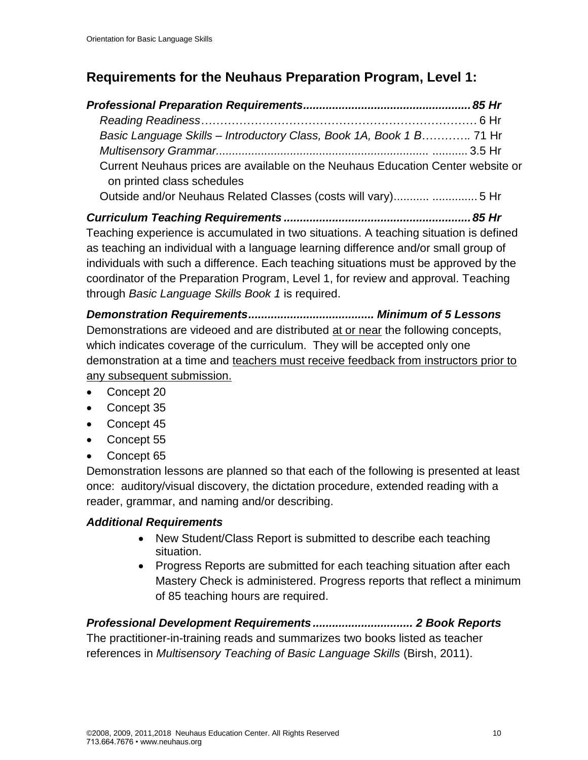# **Requirements for the Neuhaus Preparation Program, Level 1:**

| Basic Language Skills - Introductory Class, Book 1A, Book 1 B 71 Hr                                           |  |
|---------------------------------------------------------------------------------------------------------------|--|
|                                                                                                               |  |
| Current Neuhaus prices are available on the Neuhaus Education Center website or<br>on printed class schedules |  |
| Outside and/or Neuhaus Related Classes (costs will vary)  5 Hr                                                |  |

*Curriculum Teaching Requirements ..........................................................85 Hr* Teaching experience is accumulated in two situations. A teaching situation is defined as teaching an individual with a language learning difference and/or small group of individuals with such a difference. Each teaching situations must be approved by the coordinator of the Preparation Program, Level 1, for review and approval. Teaching through *Basic Language Skills Book 1* is required.

*Demonstration Requirements....................................... Minimum of 5 Lessons* Demonstrations are videoed and are distributed at or near the following concepts, which indicates coverage of the curriculum. They will be accepted only one demonstration at a time and teachers must receive feedback from instructors prior to any subsequent submission.

- Concept 20
- Concept 35
- Concept 45
- Concept 55
- Concept 65

Demonstration lessons are planned so that each of the following is presented at least once: auditory/visual discovery, the dictation procedure, extended reading with a reader, grammar, and naming and/or describing.

## *Additional Requirements*

- New Student/Class Report is submitted to describe each teaching situation.
- Progress Reports are submitted for each teaching situation after each Mastery Check is administered. Progress reports that reflect a minimum of 85 teaching hours are required.

*Professional Development Requirements ............................... 2 Book Reports* The practitioner-in-training reads and summarizes two books listed as teacher references in *Multisensory Teaching of Basic Language Skills* (Birsh, 2011).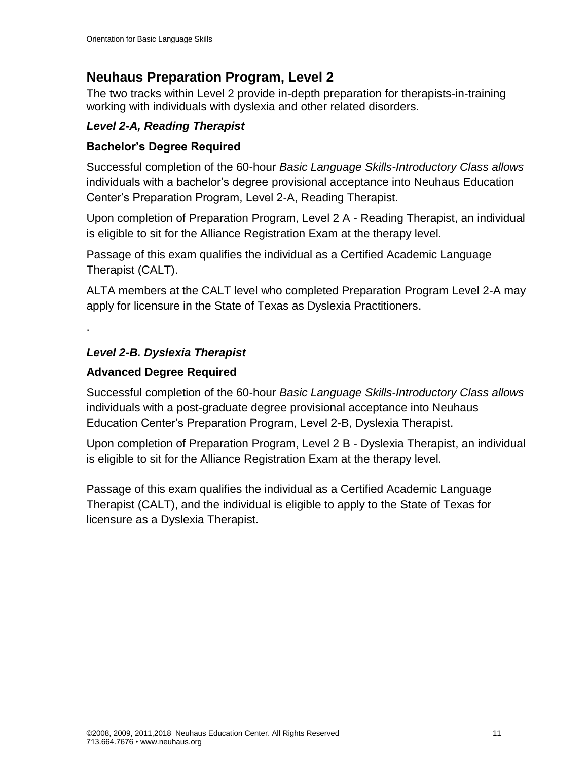# **Neuhaus Preparation Program, Level 2**

The two tracks within Level 2 provide in-depth preparation for therapists-in-training working with individuals with dyslexia and other related disorders.

#### *Level 2-A, Reading Therapist*

#### **Bachelor's Degree Required**

Successful completion of the 60-hour *Basic Language Skills-Introductory Class allows*  individuals with a bachelor's degree provisional acceptance into Neuhaus Education Center's Preparation Program, Level 2-A, Reading Therapist.

Upon completion of Preparation Program, Level 2 A - Reading Therapist, an individual is eligible to sit for the Alliance Registration Exam at the therapy level.

Passage of this exam qualifies the individual as a Certified Academic Language Therapist (CALT).

ALTA members at the CALT level who completed Preparation Program Level 2-A may apply for licensure in the State of Texas as Dyslexia Practitioners.

*Level 2-B. Dyslexia Therapist* 

### **Advanced Degree Required**

.

Successful completion of the 60-hour *Basic Language Skills-Introductory Class allows*  individuals with a post-graduate degree provisional acceptance into Neuhaus Education Center's Preparation Program, Level 2-B, Dyslexia Therapist.

Upon completion of Preparation Program, Level 2 B - Dyslexia Therapist, an individual is eligible to sit for the Alliance Registration Exam at the therapy level.

Passage of this exam qualifies the individual as a Certified Academic Language Therapist (CALT), and the individual is eligible to apply to the State of Texas for licensure as a Dyslexia Therapist.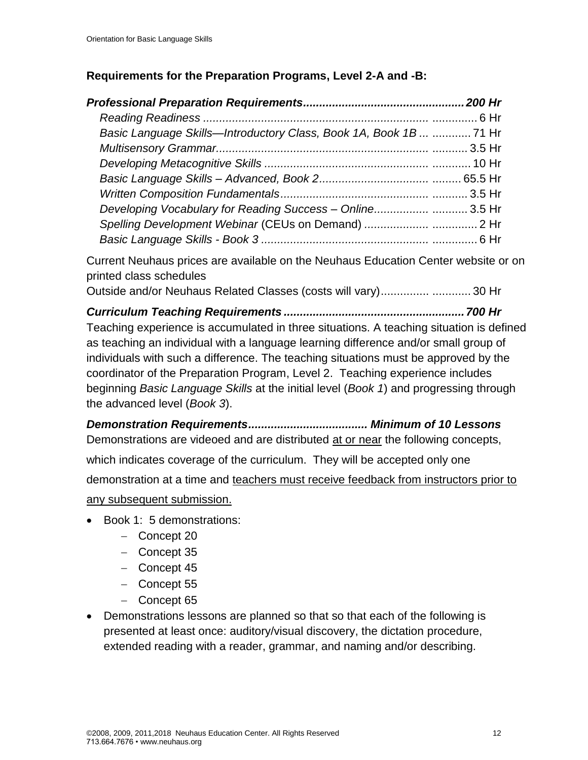#### **Requirements for the Preparation Programs, Level 2-A and -B:**

| Basic Language Skills—Introductory Class, Book 1A, Book 1B   71 Hr |  |
|--------------------------------------------------------------------|--|
|                                                                    |  |
|                                                                    |  |
|                                                                    |  |
|                                                                    |  |
| Developing Vocabulary for Reading Success - Online3.5 Hr           |  |
|                                                                    |  |
|                                                                    |  |

Current Neuhaus prices are available on the Neuhaus Education Center website or on printed class schedules

Outside and/or Neuhaus Related Classes (costs will vary)............... ............ 30 Hr

*Curriculum Teaching Requirements ........................................................700 Hr* Teaching experience is accumulated in three situations. A teaching situation is defined as teaching an individual with a language learning difference and/or small group of individuals with such a difference. The teaching situations must be approved by the coordinator of the Preparation Program, Level 2. Teaching experience includes beginning *Basic Language Skills* at the initial level (*Book 1*) and progressing through the advanced level (*Book 3*).

*Demonstration Requirements..................................... Minimum of 10 Lessons* Demonstrations are videoed and are distributed at or near the following concepts, which indicates coverage of the curriculum. They will be accepted only one demonstration at a time and teachers must receive feedback from instructors prior to any subsequent submission.

- Book 1: 5 demonstrations:
	- − Concept 20
	- − Concept 35
	- − Concept 45
	- − Concept 55
	- − Concept 65
- Demonstrations lessons are planned so that so that each of the following is presented at least once: auditory/visual discovery, the dictation procedure, extended reading with a reader, grammar, and naming and/or describing.